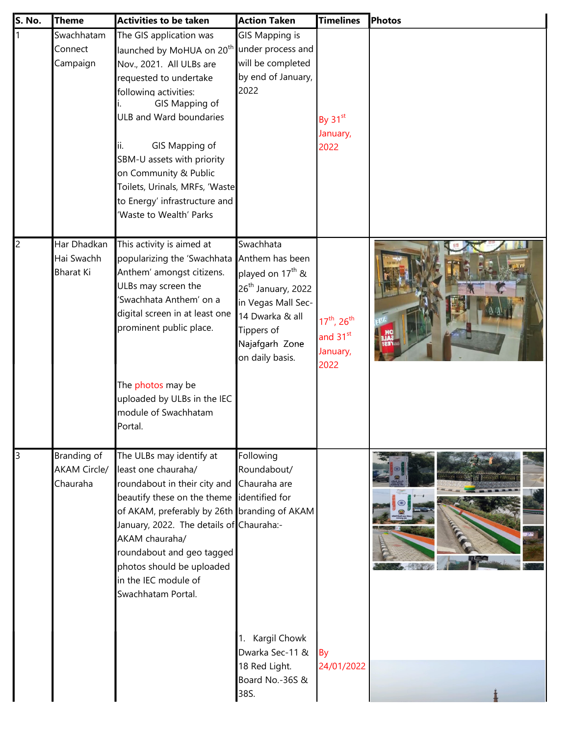| <b>S. No.</b>  | Theme                                          | <b>Activities to be taken</b>                                                                                                                                                                                                                                                                                                                                              | <b>Action Taken</b>                                                                                                                                                                        | <b>Timelines</b>                                      | Photos |
|----------------|------------------------------------------------|----------------------------------------------------------------------------------------------------------------------------------------------------------------------------------------------------------------------------------------------------------------------------------------------------------------------------------------------------------------------------|--------------------------------------------------------------------------------------------------------------------------------------------------------------------------------------------|-------------------------------------------------------|--------|
|                | Swachhatam<br>Connect<br>Campaign              | The GIS application was<br>launched by MoHUA on 20 <sup>th</sup><br>Nov., 2021. All ULBs are<br>requested to undertake<br>following activities:<br>GIS Mapping of<br>ULB and Ward boundaries<br>GIS Mapping of<br>ii.<br>SBM-U assets with priority<br>on Community & Public<br>Toilets, Urinals, MRFs, 'Waste<br>to Energy' infrastructure and<br>'Waste to Wealth' Parks | GIS Mapping is<br>under process and<br>will be completed<br>by end of January,<br>2022                                                                                                     | By $31st$<br>January,<br>2022                         |        |
| $\overline{c}$ | Har Dhadkan<br>Hai Swachh<br><b>Bharat Ki</b>  | This activity is aimed at<br>popularizing the 'Swachhata<br>Anthem' amongst citizens.<br>ULBs may screen the<br>'Swachhata Anthem' on a<br>digital screen in at least one<br>prominent public place.<br>The photos may be<br>uploaded by ULBs in the IEC<br>module of Swachhatam<br>Portal.                                                                                | Swachhata<br>Anthem has been<br>played on 17 <sup>th</sup> &<br>26 <sup>th</sup> January, 2022<br>in Vegas Mall Sec-<br>14 Dwarka & all<br>Tippers of<br>Najafgarh Zone<br>on daily basis. | $17^{th}$ , $26^{th}$<br>and 31st<br>January,<br>2022 |        |
| 3              | Branding of<br><b>AKAM Circle/</b><br>Chauraha | The ULBs may identify at<br>least one chauraha/<br>roundabout in their city and Chauraha are<br>beautify these on the theme lidentified for<br>of AKAM, preferably by 26th branding of AKAM<br>January, 2022. The details of Chauraha:-<br>AKAM chauraha/<br>roundabout and geo tagged<br>photos should be uploaded<br>in the IEC module of<br>Swachhatam Portal.          | Following<br>Roundabout/<br>1. Kargil Chowk                                                                                                                                                |                                                       |        |
|                |                                                |                                                                                                                                                                                                                                                                                                                                                                            | Dwarka Sec-11 &<br>18 Red Light.<br>Board No.-36S &<br>38S.                                                                                                                                | By<br>24/01/2022                                      |        |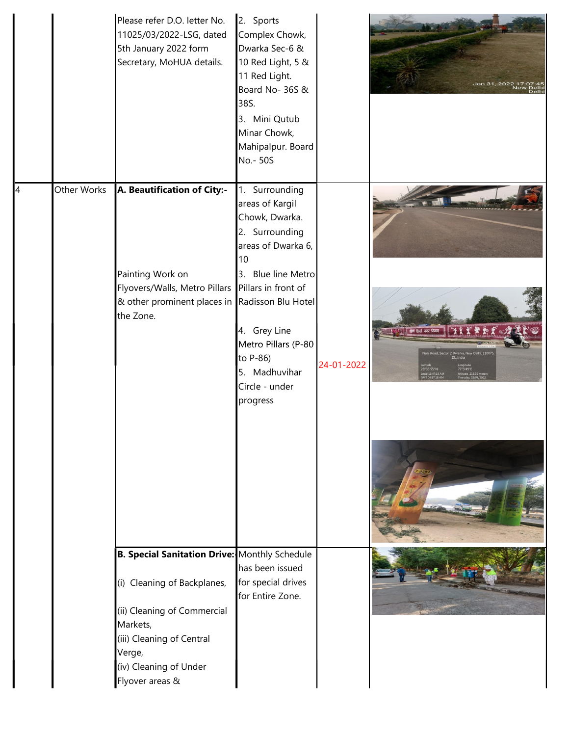|   |             | Please refer D.O. letter No.<br>11025/03/2022-LSG, dated<br>5th January 2022 form<br>Secretary, MoHUA details.                                                                                                     | 2. Sports<br>Complex Chowk,<br>Dwarka Sec-6 &<br>10 Red Light, 5 &<br>11 Red Light.<br>Board No-36S &<br>38S.<br>3. Mini Qutub<br>Minar Chowk,<br>Mahipalpur. Board<br>No.- 50S                                                                                        |            | Jan 31, 2022                        |
|---|-------------|--------------------------------------------------------------------------------------------------------------------------------------------------------------------------------------------------------------------|------------------------------------------------------------------------------------------------------------------------------------------------------------------------------------------------------------------------------------------------------------------------|------------|-------------------------------------|
| 4 | Other Works | A. Beautification of City:-<br>Painting Work on<br>Flyovers/Walls, Metro Pillars<br>& other prominent places in<br>the Zone.                                                                                       | 1. Surrounding<br>areas of Kargil<br>Chowk, Dwarka.<br>2. Surrounding<br>areas of Dwarka 6,<br>10<br>3. Blue line Metro<br>Pillars in front of<br>Radisson Blu Hotel<br>4. Grey Line<br>Metro Pillars (P-80<br>to P-86)<br>5. Madhuvihar<br>Circle - under<br>progress | 24-01-2022 | d, Sector 2 Dwarka, New Delhi, 1100 |
|   |             | <b>B. Special Sanitation Drive:</b> Monthly Schedule<br>(i) Cleaning of Backplanes,<br>(ii) Cleaning of Commercial<br>Markets,<br>(iii) Cleaning of Central<br>Verge,<br>(iv) Cleaning of Under<br>Flyover areas & | has been issued<br>for special drives<br>for Entire Zone.                                                                                                                                                                                                              |            |                                     |